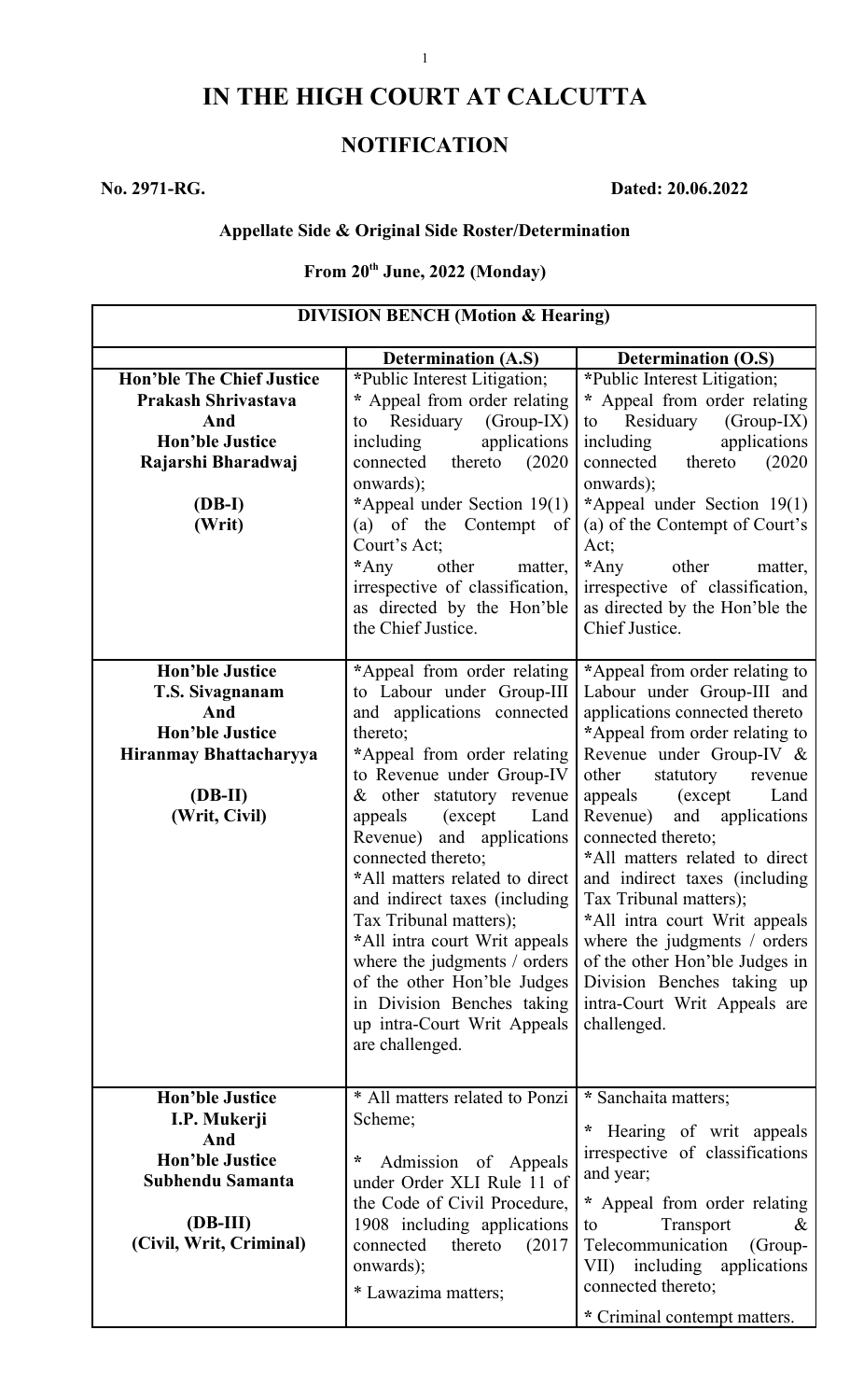# **IN THE HIGH COURT AT CALCUTTA**

## **NOTIFICATION**

**No. 2971-RG. Dated: 20.06.2022**

#### **Appellate Side & Original Side Roster/Determination**

### **From 20th June, 2022 (Monday)**

| <b>DIVISION BENCH (Motion &amp; Hearing)</b> |                                                          |                                                 |
|----------------------------------------------|----------------------------------------------------------|-------------------------------------------------|
|                                              | <b>Determination (A.S)</b>                               | <b>Determination (O.S)</b>                      |
| <b>Hon'ble The Chief Justice</b>             | *Public Interest Litigation;                             | *Public Interest Litigation;                    |
| Prakash Shrivastava                          | * Appeal from order relating                             | * Appeal from order relating                    |
| And                                          | Residuary<br>$(Group-IX)$<br>to                          | Residuary<br>$(Group-IX)$<br>to                 |
| <b>Hon'ble Justice</b>                       | applications<br>including                                | applications<br>including                       |
| Rajarshi Bharadwaj                           | thereto $(2020)$<br>connected                            | thereto<br>connected<br>(2020)                  |
|                                              | onwards);                                                | onwards);                                       |
| $(DB-I)$                                     | *Appeal under Section 19(1)                              | *Appeal under Section 19(1)                     |
| (Writ)                                       | $(a)$ of the<br>Contempt of                              | (a) of the Contempt of Court's                  |
|                                              | Court's Act;                                             | Act;                                            |
|                                              | $*$ Any<br>other<br>matter,                              | $*$ Any<br>other<br>matter,                     |
|                                              | irrespective of classification,                          | irrespective of classification,                 |
|                                              | as directed by the Hon'ble                               | as directed by the Hon'ble the                  |
|                                              | the Chief Justice.                                       | Chief Justice.                                  |
|                                              |                                                          |                                                 |
| <b>Hon'ble Justice</b>                       | *Appeal from order relating                              | *Appeal from order relating to                  |
| T.S. Sivagnanam                              | to Labour under Group-III                                | Labour under Group-III and                      |
| And                                          | and applications connected                               | applications connected thereto                  |
| <b>Hon'ble Justice</b>                       | thereto;                                                 | *Appeal from order relating to                  |
| Hiranmay Bhattacharyya                       | *Appeal from order relating                              | Revenue under Group-IV &                        |
|                                              | to Revenue under Group-IV                                | other<br>statutory<br>revenue                   |
| $(DB-II)$                                    | $& other$ statutory revenue                              | appeals<br>(except)<br>Land                     |
| (Writ, Civil)                                | (except)<br>appeals<br>Land<br>Revenue) and applications | Revenue) and applications<br>connected thereto; |
|                                              | connected thereto;                                       | *All matters related to direct                  |
|                                              | *All matters related to direct                           | and indirect taxes (including                   |
|                                              | and indirect taxes (including                            | Tax Tribunal matters);                          |
|                                              | Tax Tribunal matters);                                   | *All intra court Writ appeals                   |
|                                              | *All intra court Writ appeals                            | where the judgments $\prime$ orders             |
|                                              | where the judgments / orders                             | of the other Hon'ble Judges in                  |
|                                              | of the other Hon'ble Judges                              | Division Benches taking up                      |
|                                              | in Division Benches taking                               | intra-Court Writ Appeals are                    |
|                                              | up intra-Court Writ Appeals                              | challenged.                                     |
|                                              | are challenged.                                          |                                                 |
|                                              |                                                          |                                                 |
| <b>Hon'ble Justice</b>                       | * All matters related to Ponzi                           | * Sanchaita matters;                            |
| I.P. Mukerji                                 | Scheme;                                                  |                                                 |
| And                                          |                                                          | * Hearing of writ appeals                       |
| <b>Hon'ble Justice</b>                       | *<br>Admission of Appeals                                | irrespective of classifications                 |
| Subhendu Samanta                             | under Order XLI Rule 11 of                               | and year;                                       |
|                                              | the Code of Civil Procedure,                             | * Appeal from order relating                    |
| $1(DB-III)$                                  | 1908 including applications                              | Transport<br>to<br>$\alpha$                     |
| (Civil, Writ, Criminal)                      | connected<br>thereto<br>(2017)                           | Telecommunication<br>(Group-                    |
|                                              | onwards);                                                | including applications<br>VII)                  |
|                                              | * Lawazima matters;                                      | connected thereto;                              |
|                                              |                                                          | * Criminal contempt matters.                    |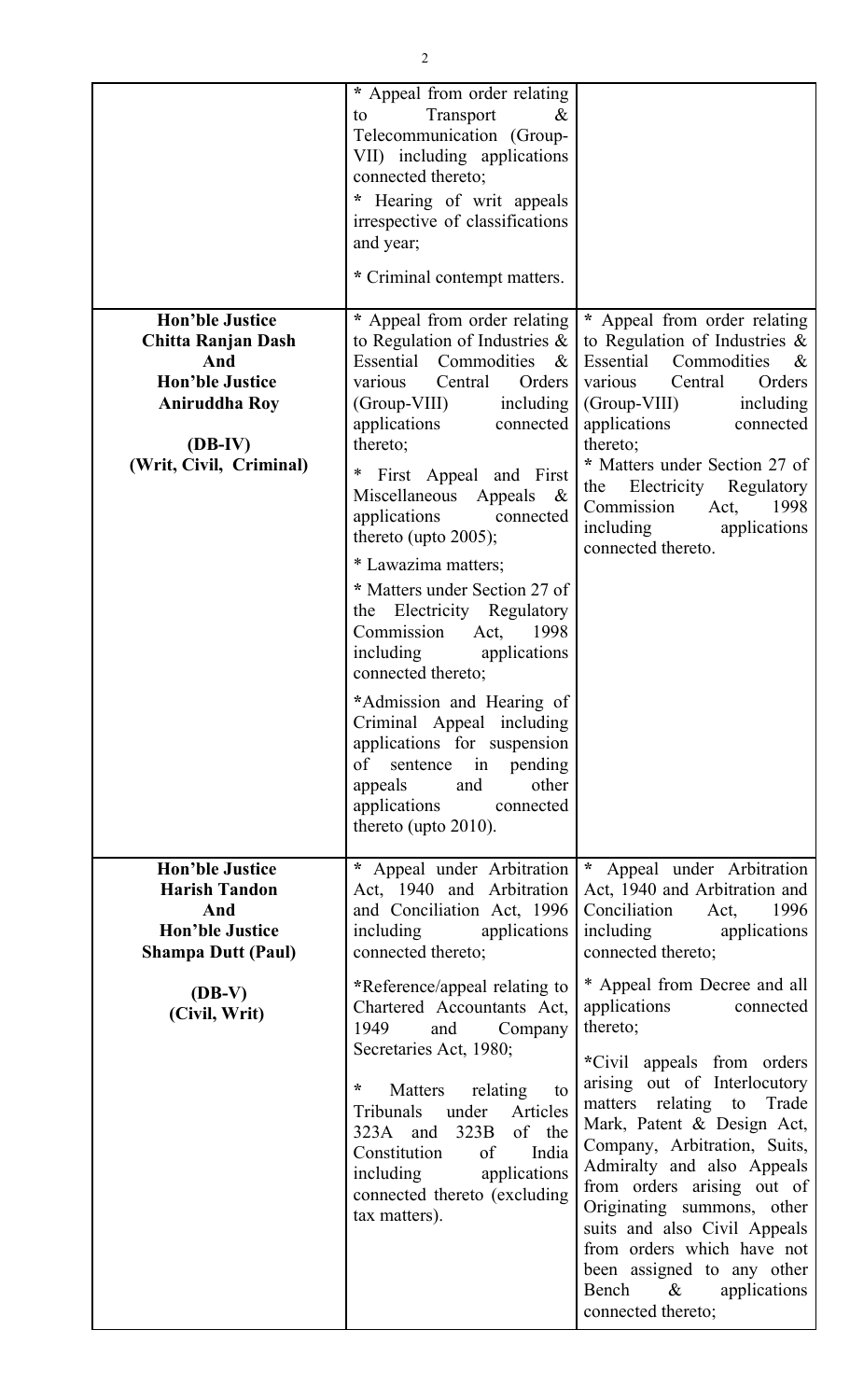| <b>Hon'ble Justice</b><br><b>Chitta Ranjan Dash</b><br>And<br><b>Hon'ble Justice</b><br><b>Aniruddha Roy</b><br>$(DB-IV)$<br>(Writ, Civil, Criminal) | * Appeal from order relating<br>Transport<br>$\&$<br>to<br>Telecommunication (Group-<br>VII) including applications<br>connected thereto;<br>* Hearing of writ appeals<br>irrespective of classifications<br>and year;<br>* Criminal contempt matters.<br>* Appeal from order relating<br>to Regulation of Industries $\&$<br>Essential Commodities<br>$\alpha$<br>Central<br>Orders<br>various<br>(Group-VIII)<br>including $\vert$<br>applications<br>connected<br>thereto;<br>$\ast$<br>First Appeal and First<br>Miscellaneous Appeals &<br>applications<br>connected<br>thereto (upto $2005$ );<br>* Lawazima matters;<br>* Matters under Section 27 of<br>the Electricity Regulatory<br>Commission Act, 1998<br>including<br>applications<br>connected thereto; | * Appeal from order relating<br>to Regulation of Industries $\&$<br>Essential Commodities<br>$\&$<br>Central<br>Orders<br>various<br>(Group-VIII) including<br>applications<br>connected<br>thereto;<br>* Matters under Section 27 of<br>the Electricity Regulatory<br>1998<br>Commission<br>Act,<br>including applications<br>connected thereto.                                                                                                                           |
|------------------------------------------------------------------------------------------------------------------------------------------------------|-----------------------------------------------------------------------------------------------------------------------------------------------------------------------------------------------------------------------------------------------------------------------------------------------------------------------------------------------------------------------------------------------------------------------------------------------------------------------------------------------------------------------------------------------------------------------------------------------------------------------------------------------------------------------------------------------------------------------------------------------------------------------|-----------------------------------------------------------------------------------------------------------------------------------------------------------------------------------------------------------------------------------------------------------------------------------------------------------------------------------------------------------------------------------------------------------------------------------------------------------------------------|
|                                                                                                                                                      | *Admission and Hearing of<br>Criminal Appeal including<br>applications for suspension                                                                                                                                                                                                                                                                                                                                                                                                                                                                                                                                                                                                                                                                                 |                                                                                                                                                                                                                                                                                                                                                                                                                                                                             |
| <b>Hon'ble Justice</b><br><b>Harish Tandon</b><br>And<br><b>Hon'ble Justice</b><br><b>Shampa Dutt (Paul)</b>                                         | of sentence in pending<br>and<br>other<br>appeals<br>applications connected<br>thereto (upto $2010$ ).<br>* Appeal under Arbitration<br>Act, 1940 and Arbitration<br>and Conciliation Act, 1996<br>including<br>applications<br>connected thereto;                                                                                                                                                                                                                                                                                                                                                                                                                                                                                                                    | $\star$<br>Appeal under Arbitration<br>Act, 1940 and Arbitration and<br>Conciliation<br>Act,<br>1996<br>including applications<br>connected thereto;                                                                                                                                                                                                                                                                                                                        |
| $(DB-V)$<br>(Civil, Writ)                                                                                                                            | *Reference/appeal relating to<br>Chartered Accountants Act,<br>1949<br>Company<br>and<br>Secretaries Act, 1980;<br>$\star$<br>relating<br>Matters<br>to<br>Articles<br>Tribunals<br>under<br>of the<br>323B<br>323A and<br>Constitution<br>India<br>of<br>applications<br>including<br>connected thereto (excluding<br>tax matters).                                                                                                                                                                                                                                                                                                                                                                                                                                  | * Appeal from Decree and all<br>applications<br>connected<br>thereto;<br>*Civil appeals from orders<br>arising out of Interlocutory<br>matters relating to Trade<br>Mark, Patent & Design Act,<br>Company, Arbitration, Suits,<br>Admiralty and also Appeals<br>from orders arising out of<br>Originating summons, other<br>suits and also Civil Appeals<br>from orders which have not<br>been assigned to any other<br>Bench<br>$\&$<br>applications<br>connected thereto; |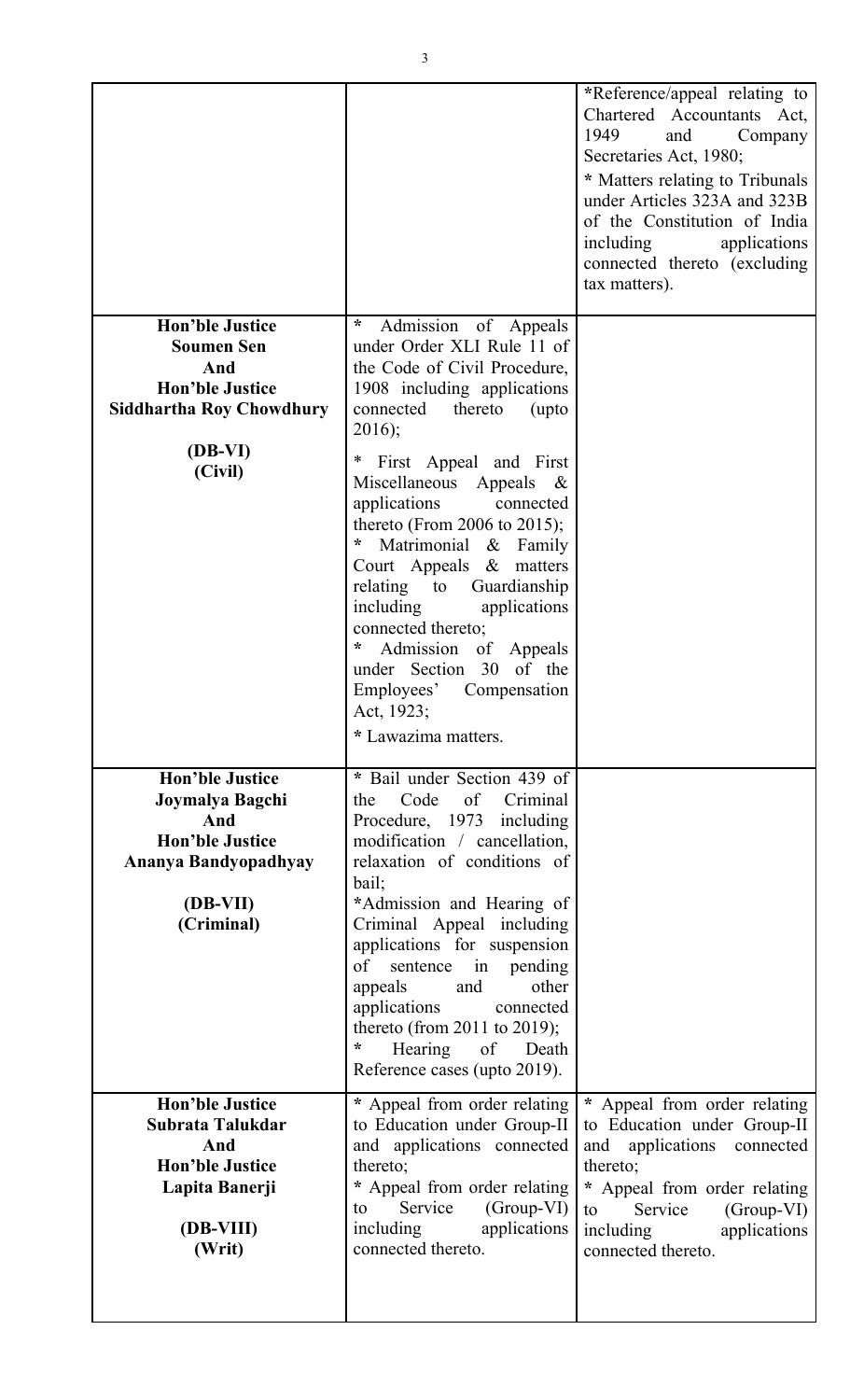|                                                                                                                                         |                                                                                                                                                                                                                                                                                                                                                                                                                                                                                                                                                                                            | *Reference/appeal relating to<br>Chartered Accountants Act,<br>1949<br>and<br>Company<br>Secretaries Act, 1980;<br>* Matters relating to Tribunals<br>under Articles 323A and 323B<br>of the Constitution of India<br>including<br>applications<br>connected thereto (excluding<br>tax matters). |
|-----------------------------------------------------------------------------------------------------------------------------------------|--------------------------------------------------------------------------------------------------------------------------------------------------------------------------------------------------------------------------------------------------------------------------------------------------------------------------------------------------------------------------------------------------------------------------------------------------------------------------------------------------------------------------------------------------------------------------------------------|--------------------------------------------------------------------------------------------------------------------------------------------------------------------------------------------------------------------------------------------------------------------------------------------------|
| <b>Hon'ble Justice</b><br><b>Soumen Sen</b><br>And<br><b>Hon'ble Justice</b><br><b>Siddhartha Roy Chowdhury</b><br>$(DB-VI)$<br>(Civil) | $\star$<br>Admission of Appeals<br>under Order XLI Rule 11 of<br>the Code of Civil Procedure,<br>1908 including applications<br>connected<br>thereto<br>(upto<br>$2016$ ;<br>$\ast$<br>First Appeal and First<br>Miscellaneous<br>Appeals<br>$-\&$<br>applications<br>connected<br>thereto (From 2006 to 2015);<br>*<br>Matrimonial & Family<br>Court Appeals & matters<br>relating to<br>Guardianship<br>including<br>applications<br>connected thereto;<br>$^{\star}$<br>Admission of Appeals<br>under Section 30 of the<br>Employees' Compensation<br>Act, 1923;<br>* Lawazima matters. |                                                                                                                                                                                                                                                                                                  |
| <b>Hon'ble Justice</b><br>Joymalya Bagchi<br>And<br><b>Hon'ble Justice</b><br>Ananya Bandyopadhyay<br>(DB-VII)<br>(Criminal)            | * Bail under Section 439 of<br>Code<br>of<br>Criminal<br>the<br>Procedure, 1973 including<br>modification / cancellation,<br>relaxation of conditions of<br>bail;<br>*Admission and Hearing of<br>Criminal Appeal including<br>applications for suspension<br>of<br>sentence in pending<br>appeals<br>other<br>and<br>applications<br>connected<br>thereto (from 2011 to 2019);<br>$\ast$<br>Hearing of<br>Death<br>Reference cases (upto 2019).                                                                                                                                           |                                                                                                                                                                                                                                                                                                  |
| <b>Hon'ble Justice</b><br>Subrata Talukdar<br>And<br><b>Hon'ble Justice</b><br>Lapita Banerji<br>(DB-VIII)<br>(Writ)                    | * Appeal from order relating<br>to Education under Group-II<br>and applications connected<br>thereto;<br>* Appeal from order relating<br>$(Group-VI)$<br>Service<br>to<br>applications<br>including<br>connected thereto.                                                                                                                                                                                                                                                                                                                                                                  | * Appeal from order relating<br>to Education under Group-II<br>and applications connected<br>thereto;<br>* Appeal from order relating<br>Service<br>(Group-VI)<br>to<br>including<br>applications<br>connected thereto.                                                                          |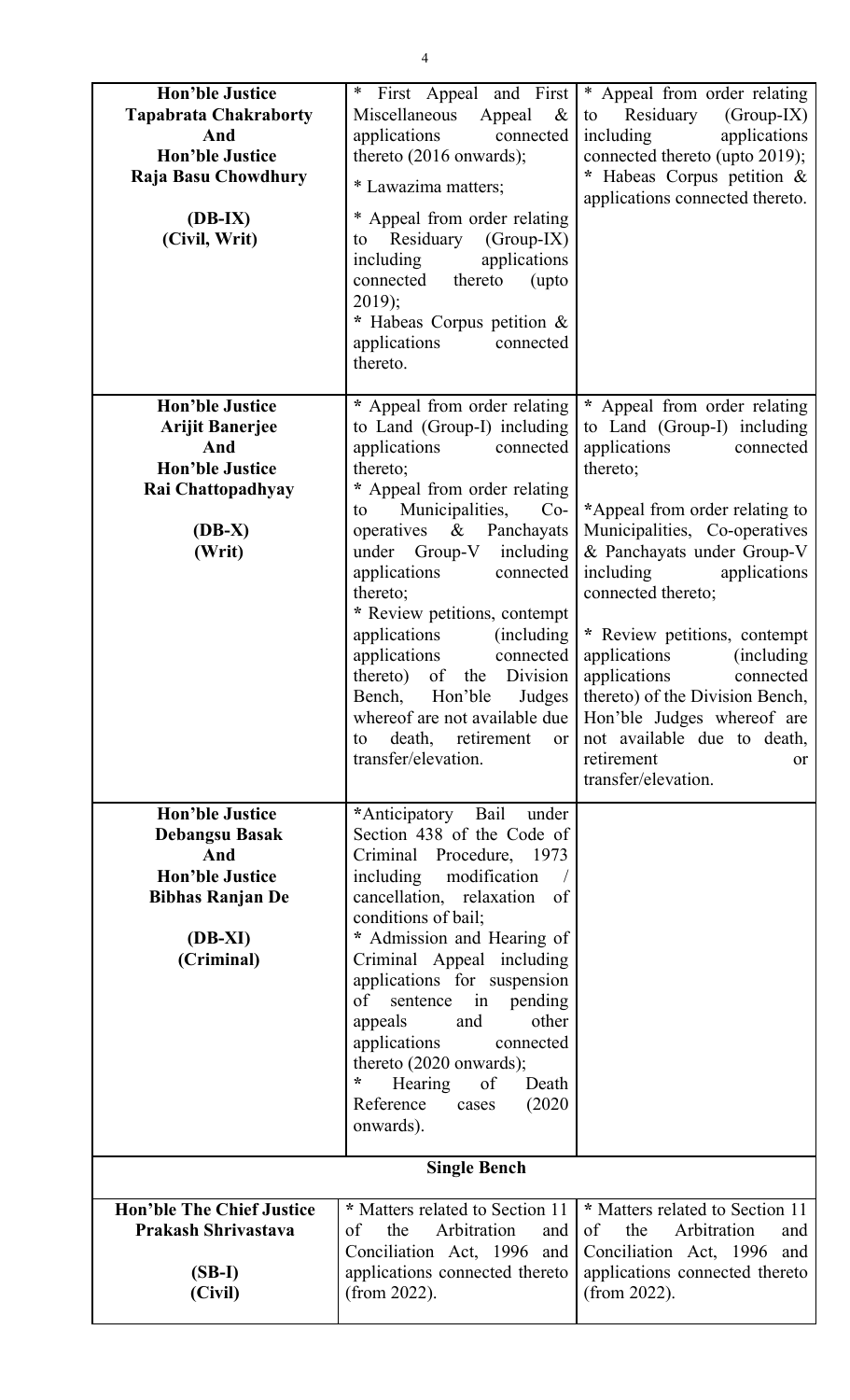| <b>Hon'ble Justice</b><br><b>Tapabrata Chakraborty</b><br>And<br><b>Hon'ble Justice</b><br>Raja Basu Chowdhury<br>$(DB-IX)$<br>(Civil, Writ) | First Appeal and First<br>$\ast$<br>Miscellaneous<br>Appeal<br>$\&$<br>applications<br>connected<br>thereto $(2016$ onwards);<br>* Lawazima matters;<br>* Appeal from order relating<br>Residuary<br>$(Group-IX)$<br>to<br>applications<br>including<br>connected<br>thereto<br>(upto<br>$2019$ ;<br>* Habeas Corpus petition &<br>applications<br>connected<br>thereto.                                                                                                       | * Appeal from order relating<br>Residuary<br>$(Group-IX)$<br>to<br>including<br>applications<br>connected thereto (upto 2019);<br>* Habeas Corpus petition &<br>applications connected thereto.                                                                                                                                                                                                                         |
|----------------------------------------------------------------------------------------------------------------------------------------------|--------------------------------------------------------------------------------------------------------------------------------------------------------------------------------------------------------------------------------------------------------------------------------------------------------------------------------------------------------------------------------------------------------------------------------------------------------------------------------|-------------------------------------------------------------------------------------------------------------------------------------------------------------------------------------------------------------------------------------------------------------------------------------------------------------------------------------------------------------------------------------------------------------------------|
| <b>Hon'ble Justice</b><br><b>Arijit Banerjee</b><br>And<br><b>Hon'ble Justice</b><br>Rai Chattopadhyay                                       | * Appeal from order relating<br>to Land (Group-I) including<br>applications<br>connected<br>thereto;<br>* Appeal from order relating                                                                                                                                                                                                                                                                                                                                           | * Appeal from order relating<br>to Land (Group-I) including<br>applications<br>connected<br>thereto;                                                                                                                                                                                                                                                                                                                    |
| (DB-X)<br>(Writ)                                                                                                                             | Municipalities,<br>$Co-$<br>to<br>operatives $\&$<br>Panchayats<br>under Group-V including<br>applications<br>connected<br>thereto;<br>* Review petitions, contempt<br>applications<br>(including)<br>applications<br>connected<br>thereto) of the Division<br>Bench, Hon'ble Judges<br>death, retirement<br>or l<br>to<br>transfer/elevation.                                                                                                                                 | *Appeal from order relating to<br>Municipalities, Co-operatives<br>& Panchayats under Group-V<br>including<br>applications<br>connected thereto;<br>* Review petitions, contempt<br>applications<br>(including)<br>applications<br>connected<br>thereto) of the Division Bench,<br>whereof are not available due   Hon'ble Judges whereof are<br>not available due to death,<br>retirement<br>or<br>transfer/elevation. |
| <b>Hon'ble Justice</b><br><b>Debangsu Basak</b><br>And<br><b>Hon'ble Justice</b><br><b>Bibhas Ranjan De</b><br>$(DB-XI)$<br>(Criminal)       | *Anticipatory Bail<br>under<br>Section 438 of the Code of<br>Criminal Procedure, 1973<br>including modification<br>cancellation, relaxation<br><sub>of</sub><br>conditions of bail;<br>* Admission and Hearing of<br>Criminal Appeal including<br>applications for suspension<br>sentence in pending<br>of<br>appeals<br>other<br>and<br>applications<br>connected<br>thereto (2020 onwards);<br>$\ast$<br>of<br>Hearing<br>Death<br>Reference<br>(2020)<br>cases<br>onwards). |                                                                                                                                                                                                                                                                                                                                                                                                                         |
|                                                                                                                                              | <b>Single Bench</b>                                                                                                                                                                                                                                                                                                                                                                                                                                                            |                                                                                                                                                                                                                                                                                                                                                                                                                         |
| <b>Hon'ble The Chief Justice</b><br><b>Prakash Shrivastava</b><br>$(SB-I)$<br>(Civil)                                                        | * Matters related to Section 11<br>Arbitration<br>the<br>and  <br>of<br>Conciliation Act, 1996 and<br>applications connected thereto<br>(from $2022$ ).                                                                                                                                                                                                                                                                                                                        | * Matters related to Section 11<br>Arbitration<br>the<br>of<br>and<br>Conciliation Act, 1996 and<br>applications connected thereto<br>(from $2022$ ).                                                                                                                                                                                                                                                                   |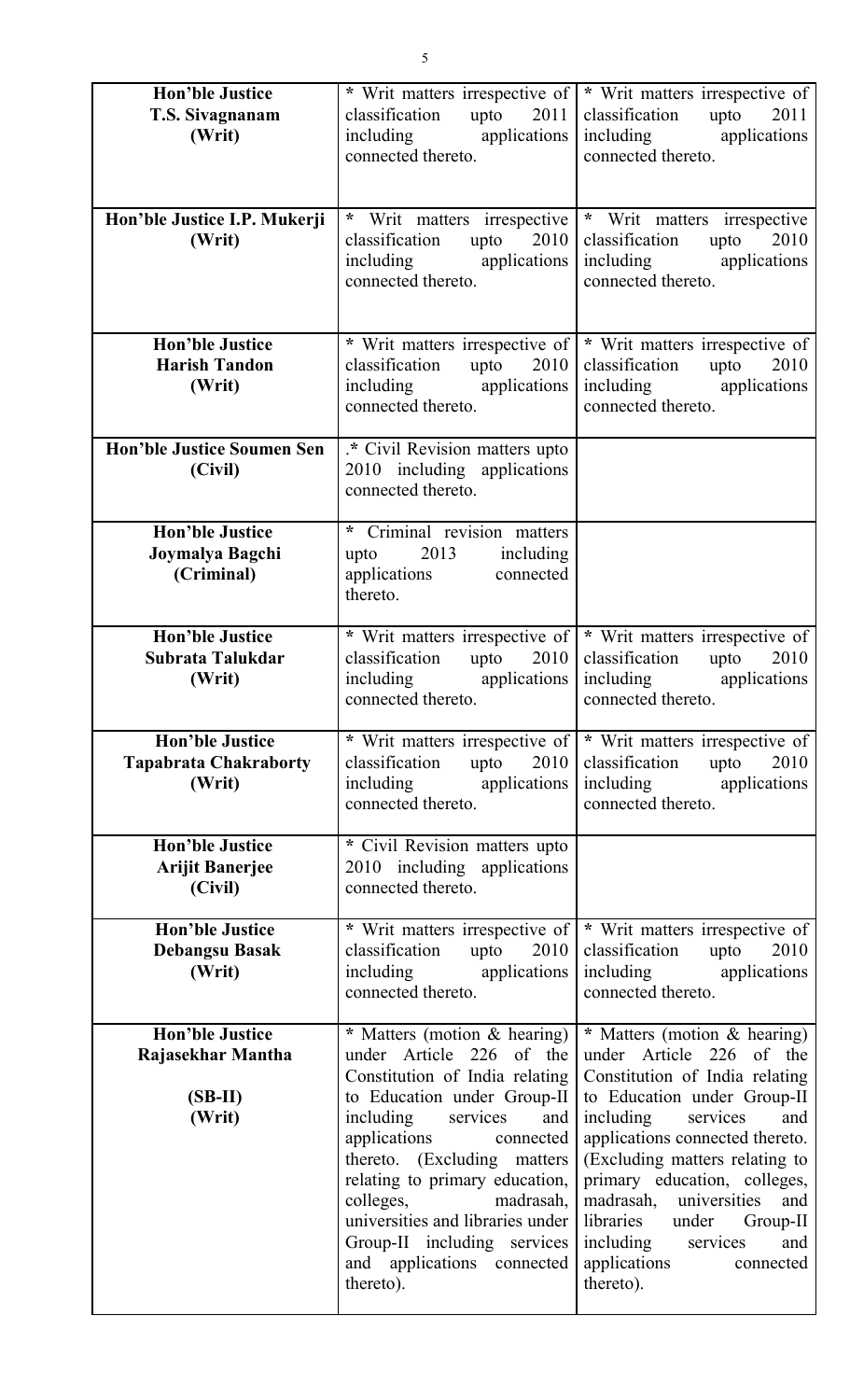| <b>Hon'ble Justice</b><br>T.S. Sivagnanam<br>(Writ)                | * Writ matters irrespective of<br>classification<br>upto<br>2011<br>including applications<br>connected thereto.                                                                                                                                                                                                                                                                          | * Writ matters irrespective of<br>classification<br>upto<br>2011<br>including applications<br>connected thereto.                                                                                                                                                                                                                                                                                   |
|--------------------------------------------------------------------|-------------------------------------------------------------------------------------------------------------------------------------------------------------------------------------------------------------------------------------------------------------------------------------------------------------------------------------------------------------------------------------------|----------------------------------------------------------------------------------------------------------------------------------------------------------------------------------------------------------------------------------------------------------------------------------------------------------------------------------------------------------------------------------------------------|
| Hon'ble Justice I.P. Mukerji<br>(Writ)                             | * Writ matters irrespective<br>classification<br>upto<br>2010<br>including applications<br>connected thereto.                                                                                                                                                                                                                                                                             | * Writ matters irrespective<br>classification<br>upto<br>2010<br>including<br>applications<br>connected thereto.                                                                                                                                                                                                                                                                                   |
| <b>Hon'ble Justice</b><br><b>Harish Tandon</b><br>(Writ)           | * Writ matters irrespective of<br>classification<br>upto $2010$<br>including applications<br>connected thereto.                                                                                                                                                                                                                                                                           | * Writ matters irrespective of<br>classification<br>upto<br>2010<br>including applications<br>connected thereto.                                                                                                                                                                                                                                                                                   |
| <b>Hon'ble Justice Soumen Sen</b><br>(Civil)                       | * Civil Revision matters upto<br>2010 including applications<br>connected thereto.                                                                                                                                                                                                                                                                                                        |                                                                                                                                                                                                                                                                                                                                                                                                    |
| <b>Hon'ble Justice</b><br>Joymalya Bagchi<br>(Criminal)            | * Criminal revision matters<br>2013<br>including<br>upto<br>applications<br>connected<br>thereto.                                                                                                                                                                                                                                                                                         |                                                                                                                                                                                                                                                                                                                                                                                                    |
| <b>Hon'ble Justice</b><br>Subrata Talukdar<br>(Writ)               | * Writ matters irrespective of<br>classification<br>upto<br>2010<br>including applications<br>connected thereto.                                                                                                                                                                                                                                                                          | * Writ matters irrespective of<br>classification<br>2010<br>upto<br>including applications<br>connected thereto.                                                                                                                                                                                                                                                                                   |
| <b>Hon'ble Justice</b><br><b>Tapabrata Chakraborty</b><br>(Writ)   | * Writ matters irrespective of<br>classification upto 2010<br>including applications<br>connected thereto.                                                                                                                                                                                                                                                                                | * Writ matters irrespective of<br>2010<br>classification upto<br>including applications<br>connected thereto.                                                                                                                                                                                                                                                                                      |
| <b>Hon'ble Justice</b><br><b>Arijit Banerjee</b><br>(Civil)        | * Civil Revision matters upto<br>2010 including applications<br>connected thereto.                                                                                                                                                                                                                                                                                                        |                                                                                                                                                                                                                                                                                                                                                                                                    |
| <b>Hon'ble Justice</b><br><b>Debangsu Basak</b><br>(Writ)          | * Writ matters irrespective of<br>classification upto 2010<br>including applications<br>connected thereto.                                                                                                                                                                                                                                                                                | * Writ matters irrespective of<br>classification upto<br>2010<br>including applications<br>connected thereto.                                                                                                                                                                                                                                                                                      |
| <b>Hon'ble Justice</b><br>Rajasekhar Mantha<br>$(SB-II)$<br>(Writ) | * Matters (motion & hearing)<br>under Article 226 of the<br>Constitution of India relating<br>to Education under Group-II<br>including services<br>and<br>applications<br>connected<br>thereto. (Excluding matters<br>relating to primary education,<br>colleges, madrasah,<br>universities and libraries under<br>Group-II including services<br>and applications connected<br>thereto). | * Matters (motion & hearing)<br>under Article 226 of the<br>Constitution of India relating<br>to Education under Group-II<br>including services<br>and<br>applications connected thereto.<br>(Excluding matters relating to<br>primary education, colleges,<br>madrasah, universities<br>and<br>libraries<br>under Group-II<br>including services<br>and<br>applications<br>connected<br>thereto). |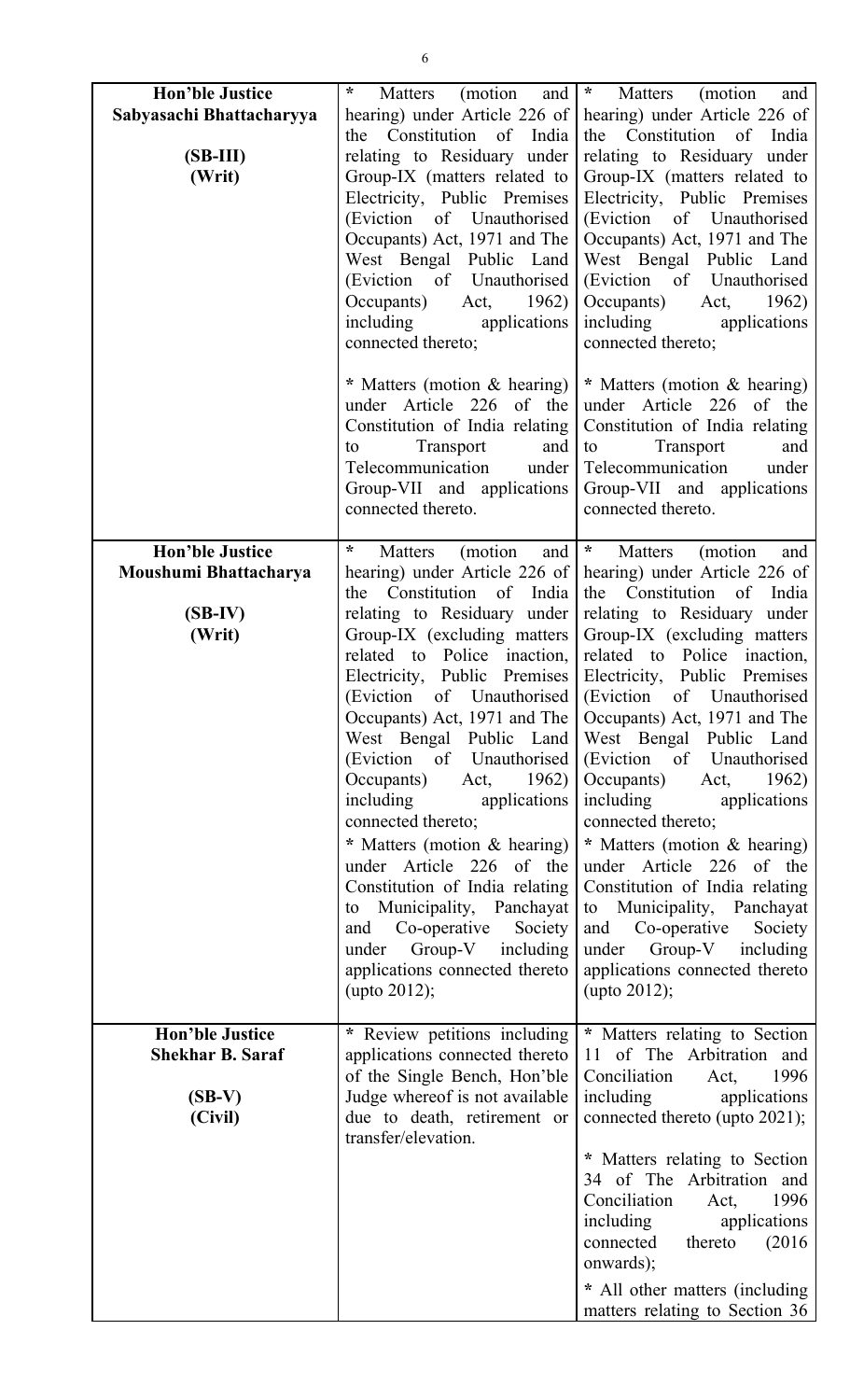| <b>Hon'ble Justice</b><br>Sabyasachi Bhattacharyya<br>$(SB-III)$<br>(Writ) | $\ast$<br>(motion and<br>Matters<br>hearing) under Article 226 of<br>the Constitution of India<br>relating to Residuary under<br>Group-IX (matters related to<br>Electricity, Public Premises<br>(Eviction of Unauthorised<br>Occupants) Act, 1971 and The<br>West Bengal Public Land<br>(Eviction of Unauthorised<br>Occupants) Act, 1962)<br>including applications<br>connected thereto;                                                                                                                                                                                                                         | $\star$<br>Matters<br>(motion<br>and<br>hearing) under Article 226 of<br>the Constitution of India<br>relating to Residuary under<br>Group-IX (matters related to<br>Electricity, Public Premises<br>(Eviction of Unauthorised<br>Occupants) Act, 1971 and The<br>West Bengal Public Land<br>(Eviction of Unauthorised<br>Occupants) Act, 1962)<br>including applications<br>connected thereto;                                                                                                                                                                                                                                                                                                                                      |
|----------------------------------------------------------------------------|---------------------------------------------------------------------------------------------------------------------------------------------------------------------------------------------------------------------------------------------------------------------------------------------------------------------------------------------------------------------------------------------------------------------------------------------------------------------------------------------------------------------------------------------------------------------------------------------------------------------|--------------------------------------------------------------------------------------------------------------------------------------------------------------------------------------------------------------------------------------------------------------------------------------------------------------------------------------------------------------------------------------------------------------------------------------------------------------------------------------------------------------------------------------------------------------------------------------------------------------------------------------------------------------------------------------------------------------------------------------|
|                                                                            | * Matters (motion & hearing)<br>under Article 226 of the<br>Constitution of India relating<br>Transport<br>and<br>to<br>Telecommunication under<br>Group-VII and applications<br>connected thereto.                                                                                                                                                                                                                                                                                                                                                                                                                 | * Matters (motion & hearing)<br>under Article 226 of the<br>Constitution of India relating<br>Transport<br>to<br>and<br>Telecommunication<br>under<br>Group-VII and applications<br>connected thereto.                                                                                                                                                                                                                                                                                                                                                                                                                                                                                                                               |
| <b>Hon'ble Justice</b><br>Moushumi Bhattacharya<br>$(SB-IV)$<br>(Writ)     | $\ast$<br>(motion<br>Matters<br>and<br>hearing) under Article 226 of<br>the Constitution of India<br>relating to Residuary under<br>Group-IX (excluding matters)<br>related to Police inaction,<br>Occupants) Act, 1971 and The<br>West Bengal Public Land<br>(Eviction of Unauthorised)<br>Occupants)<br>Act, $1962$<br>including<br>applications<br>connected thereto;<br>* Matters (motion & hearing)<br>under Article 226 of the<br>Constitution of India relating<br>to Municipality, Panchayat<br>Society<br>and Co-operative<br>Group-V including<br>under<br>applications connected thereto<br>(upto 2012); | $\star$<br>Matters<br>(motion)<br>and<br>hearing) under Article 226 of<br>the Constitution of India<br>relating to Residuary under<br>Group-IX (excluding matters<br>related to Police inaction,<br>Electricity, Public Premises Electricity, Public Premises<br>(Eviction of Unauthorised (Eviction of Unauthorised<br>Occupants) Act, 1971 and The<br>West Bengal Public Land<br>(Eviction of Unauthorised<br>Occupants)<br>Act, $1962$<br>including applications<br>connected thereto;<br>* Matters (motion & hearing)<br>under Article 226 of the<br>Constitution of India relating<br>to Municipality, Panchayat<br>and Co-operative<br>Society<br>under<br>Group-V including<br>applications connected thereto<br>(upto 2012); |
| <b>Hon'ble Justice</b><br><b>Shekhar B. Saraf</b><br>$(SB-V)$<br>(Civil)   | * Review petitions including<br>applications connected thereto<br>of the Single Bench, Hon'ble<br>Judge whereof is not available<br>due to death, retirement or<br>transfer/elevation.                                                                                                                                                                                                                                                                                                                                                                                                                              | * Matters relating to Section<br>11 of The Arbitration and<br>Conciliation Act,<br>1996<br>including applications<br>connected thereto (upto 2021);<br>* Matters relating to Section<br>34 of The Arbitration and<br>Conciliation<br>1996<br>Act,<br>including<br>applications<br>connected thereto (2016)<br>onwards);<br>* All other matters (including<br>matters relating to Section 36                                                                                                                                                                                                                                                                                                                                          |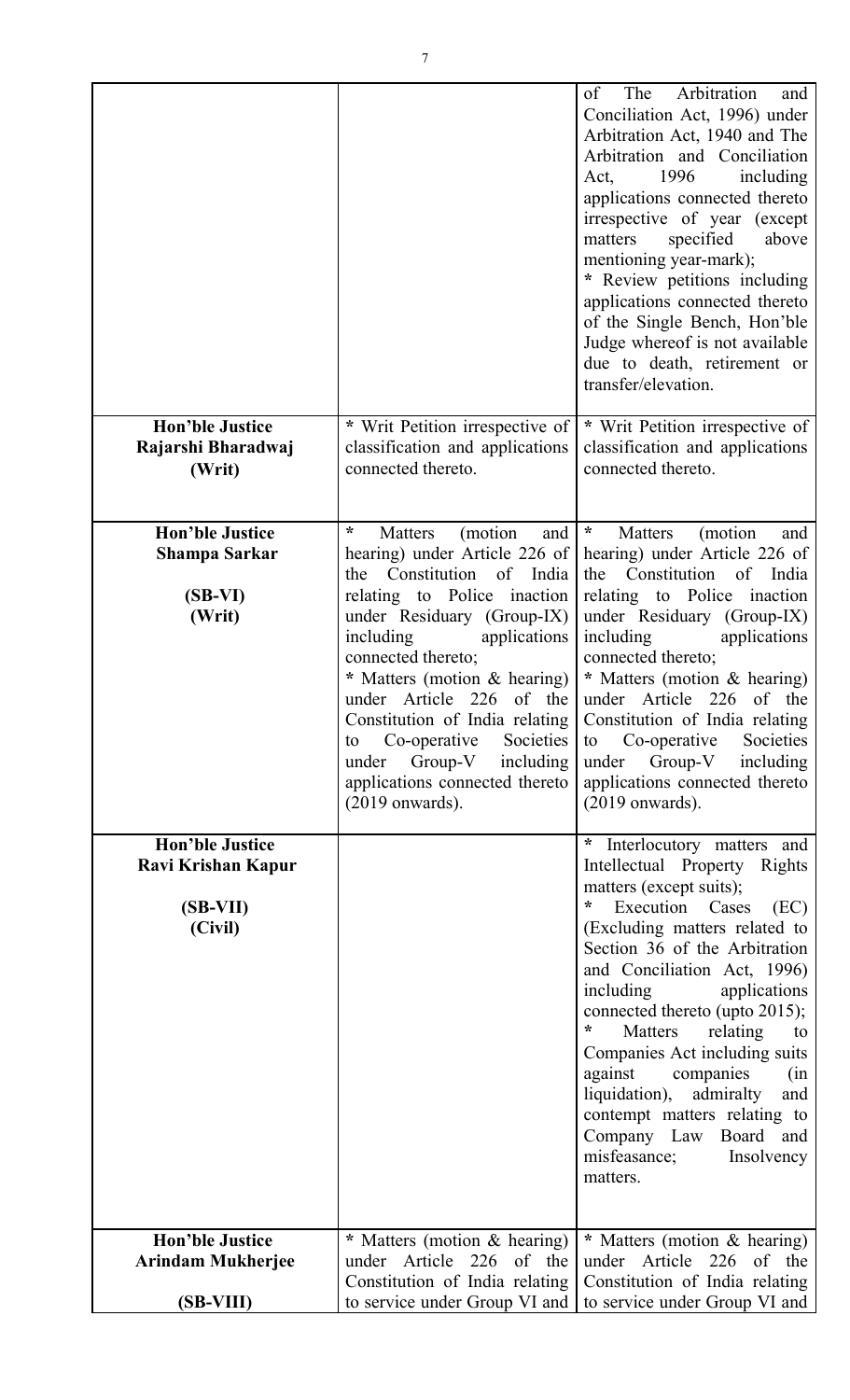|                                                                       |                                                                                                                                                                                                                                                                                                                                                                                                                                                | The<br>Arbitration<br>of<br>and<br>Conciliation Act, 1996) under<br>Arbitration Act, 1940 and The<br>Arbitration and Conciliation<br>1996<br>including<br>Act.<br>applications connected thereto<br>irrespective of year (except<br>specified<br>matters<br>above<br>mentioning year-mark);<br>* Review petitions including<br>applications connected thereto<br>of the Single Bench, Hon'ble<br>Judge whereof is not available<br>due to death, retirement or<br>transfer/elevation.                                                               |
|-----------------------------------------------------------------------|------------------------------------------------------------------------------------------------------------------------------------------------------------------------------------------------------------------------------------------------------------------------------------------------------------------------------------------------------------------------------------------------------------------------------------------------|-----------------------------------------------------------------------------------------------------------------------------------------------------------------------------------------------------------------------------------------------------------------------------------------------------------------------------------------------------------------------------------------------------------------------------------------------------------------------------------------------------------------------------------------------------|
| <b>Hon'ble Justice</b><br>Rajarshi Bharadwaj<br>(Writ)                | * Writ Petition irrespective of<br>classification and applications<br>connected thereto.                                                                                                                                                                                                                                                                                                                                                       | * Writ Petition irrespective of<br>classification and applications<br>connected thereto.                                                                                                                                                                                                                                                                                                                                                                                                                                                            |
| <b>Hon'ble Justice</b><br>Shampa Sarkar<br>$(SB-VI)$<br>(Writ)        | $\star$<br>(motion)<br>Matters<br>and<br>hearing) under Article 226 of<br>the Constitution of India<br>relating to Police inaction<br>under Residuary (Group-IX)<br>including<br>applications<br>connected thereto;<br>* Matters (motion & hearing)<br>under Article 226 of the<br>Constitution of India relating<br>Co-operative<br>Societies<br>to<br>$Group-V$<br>including<br>under<br>applications connected thereto<br>$(2019$ onwards). | $\boldsymbol{\ast}$<br>(motion)<br>Matters<br>and<br>hearing) under Article 226 of<br>the Constitution of India<br>relating to Police inaction<br>under Residuary (Group-IX)<br>including<br>applications<br>connected thereto;<br>* Matters (motion & hearing)<br>under Article 226 of the<br>Constitution of India relating<br>Co-operative<br>Societies<br>to<br>$Group-V$<br>including<br>under<br>applications connected thereto<br>$(2019$ onwards).                                                                                          |
| <b>Hon'ble Justice</b><br>Ravi Krishan Kapur<br>$(SB-VII)$<br>(Civil) |                                                                                                                                                                                                                                                                                                                                                                                                                                                | $\ast$<br>Interlocutory matters and<br>Intellectual Property Rights<br>matters (except suits);<br>$\star$<br>Execution Cases<br>(EC)<br>(Excluding matters related to<br>Section 36 of the Arbitration<br>and Conciliation Act, 1996)<br>including<br>applications<br>connected thereto (upto 2015);<br>$\ast$<br>Matters<br>relating<br>to<br>Companies Act including suits<br>against<br>companies<br>(in<br>admiralty<br>liquidation),<br>and<br>contempt matters relating to<br>Company Law Board and<br>misfeasance;<br>Insolvency<br>matters. |
| <b>Hon'ble Justice</b><br><b>Arindam Mukherjee</b>                    | * Matters (motion & hearing)<br>under Article 226 of the                                                                                                                                                                                                                                                                                                                                                                                       | * Matters (motion & hearing)<br>under Article 226<br>of the                                                                                                                                                                                                                                                                                                                                                                                                                                                                                         |
| $(SB-VIII)$                                                           | Constitution of India relating<br>to service under Group VI and                                                                                                                                                                                                                                                                                                                                                                                | Constitution of India relating<br>to service under Group VI and                                                                                                                                                                                                                                                                                                                                                                                                                                                                                     |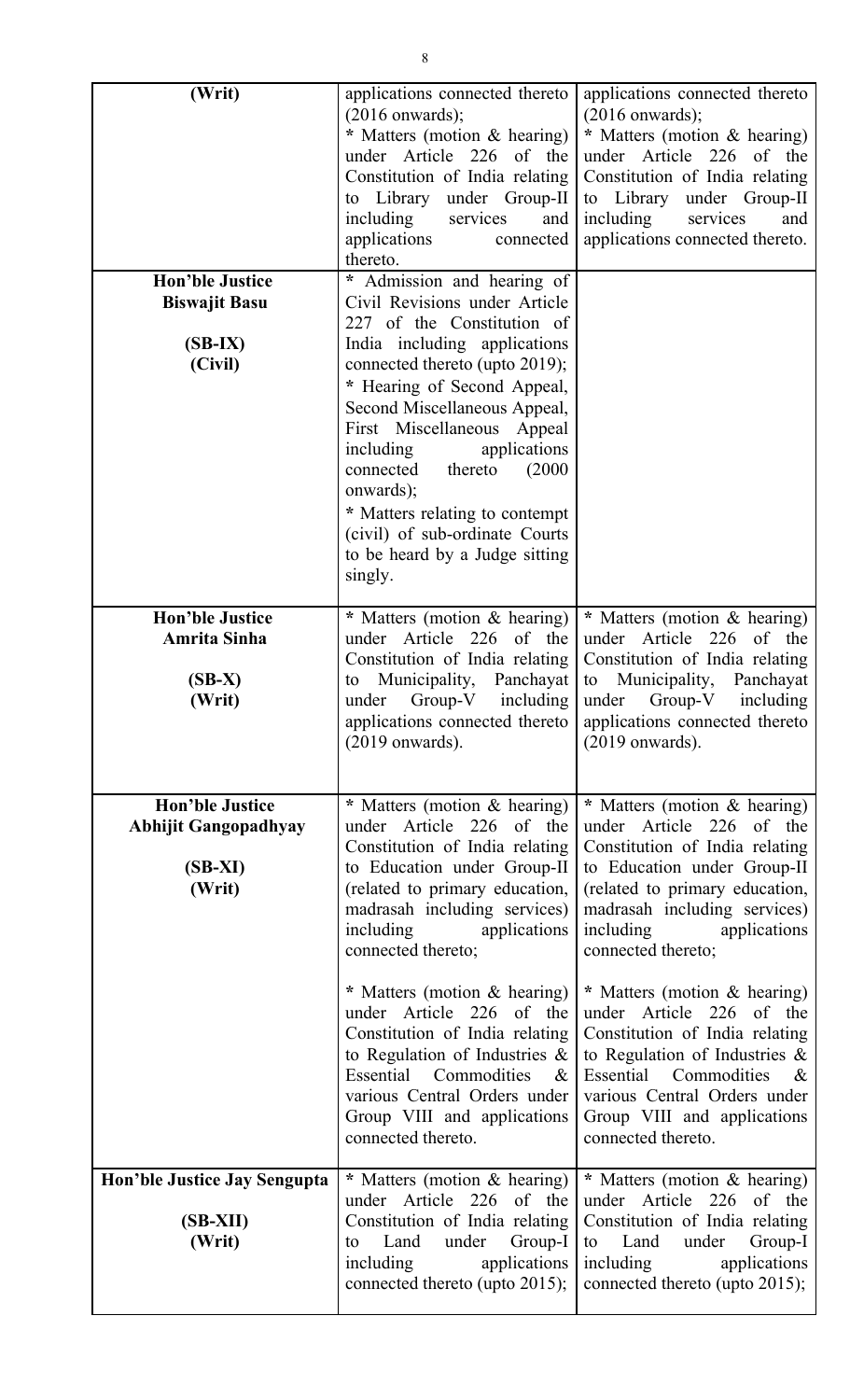| (Writ)                                                                       | applications connected thereto<br>$(2016$ onwards);<br>* Matters (motion & hearing)<br>under Article 226 of the<br>Constitution of India relating<br>to Library under Group-II<br>including<br>services<br>and<br>applications<br>connected<br>thereto.                                                                                                                                                                                                                                                | applications connected thereto<br>$(2016$ onwards);<br>* Matters (motion & hearing)<br>under Article 226 of the<br>Constitution of India relating<br>to Library under Group-II<br>including<br>and<br>services<br>applications connected thereto.                                                                                                                                                                                                                                                          |
|------------------------------------------------------------------------------|--------------------------------------------------------------------------------------------------------------------------------------------------------------------------------------------------------------------------------------------------------------------------------------------------------------------------------------------------------------------------------------------------------------------------------------------------------------------------------------------------------|------------------------------------------------------------------------------------------------------------------------------------------------------------------------------------------------------------------------------------------------------------------------------------------------------------------------------------------------------------------------------------------------------------------------------------------------------------------------------------------------------------|
| <b>Hon'ble Justice</b><br><b>Biswajit Basu</b><br>$(SB-IX)$<br>(Civil)       | * Admission and hearing of<br>Civil Revisions under Article<br>227 of the Constitution of<br>India including applications<br>connected thereto (upto 2019);<br>* Hearing of Second Appeal,<br>Second Miscellaneous Appeal,<br>First Miscellaneous Appeal<br>including<br>applications<br>thereto<br>connected<br>(2000)<br>onwards);<br>* Matters relating to contempt<br>(civil) of sub-ordinate Courts<br>to be heard by a Judge sitting<br>singly.                                                  |                                                                                                                                                                                                                                                                                                                                                                                                                                                                                                            |
| <b>Hon'ble Justice</b><br>Amrita Sinha<br>$(SB-X)$<br>(Writ)                 | * Matters (motion & hearing)<br>under Article 226 of the<br>Constitution of India relating<br>to Municipality, Panchayat<br>under Group-V including<br>applications connected thereto<br>$(2019$ onwards).                                                                                                                                                                                                                                                                                             | * Matters (motion & hearing)<br>under Article 226 of the<br>Constitution of India relating<br>to Municipality, Panchayat<br>under Group-V including<br>applications connected thereto<br>$(2019$ onwards).                                                                                                                                                                                                                                                                                                 |
| <b>Hon'ble Justice</b><br><b>Abhijit Gangopadhyay</b><br>$(SB-XI)$<br>(Writ) | * Matters (motion & hearing)<br>under Article 226 of the<br>Constitution of India relating<br>to Education under Group-II<br>(related to primary education,<br>madrasah including services)<br>including<br>applications<br>connected thereto;<br>* Matters (motion & hearing)<br>under Article 226 of the<br>Constitution of India relating<br>to Regulation of Industries $\&$<br>Essential Commodities<br>$\&$<br>various Central Orders under<br>Group VIII and applications<br>connected thereto. | * Matters (motion & hearing)<br>under Article 226 of the<br>Constitution of India relating<br>to Education under Group-II<br>(related to primary education,<br>madrasah including services)<br>including<br>applications<br>connected thereto;<br>* Matters (motion & hearing)<br>under Article 226 of the<br>Constitution of India relating<br>to Regulation of Industries $\&$<br>Essential Commodities<br>$\alpha$<br>various Central Orders under<br>Group VIII and applications<br>connected thereto. |
| Hon'ble Justice Jay Sengupta<br>$(SB-XII)$<br>(Writ)                         | * Matters (motion & hearing)<br>under Article 226 of the<br>Constitution of India relating<br>under Group-I<br>Land<br>to<br>including<br>applications<br>connected thereto (upto 2015);                                                                                                                                                                                                                                                                                                               | * Matters (motion & hearing)<br>under Article 226 of the<br>Constitution of India relating<br>to Land under<br>Group-I<br>including<br>applications<br>connected thereto (upto 2015);                                                                                                                                                                                                                                                                                                                      |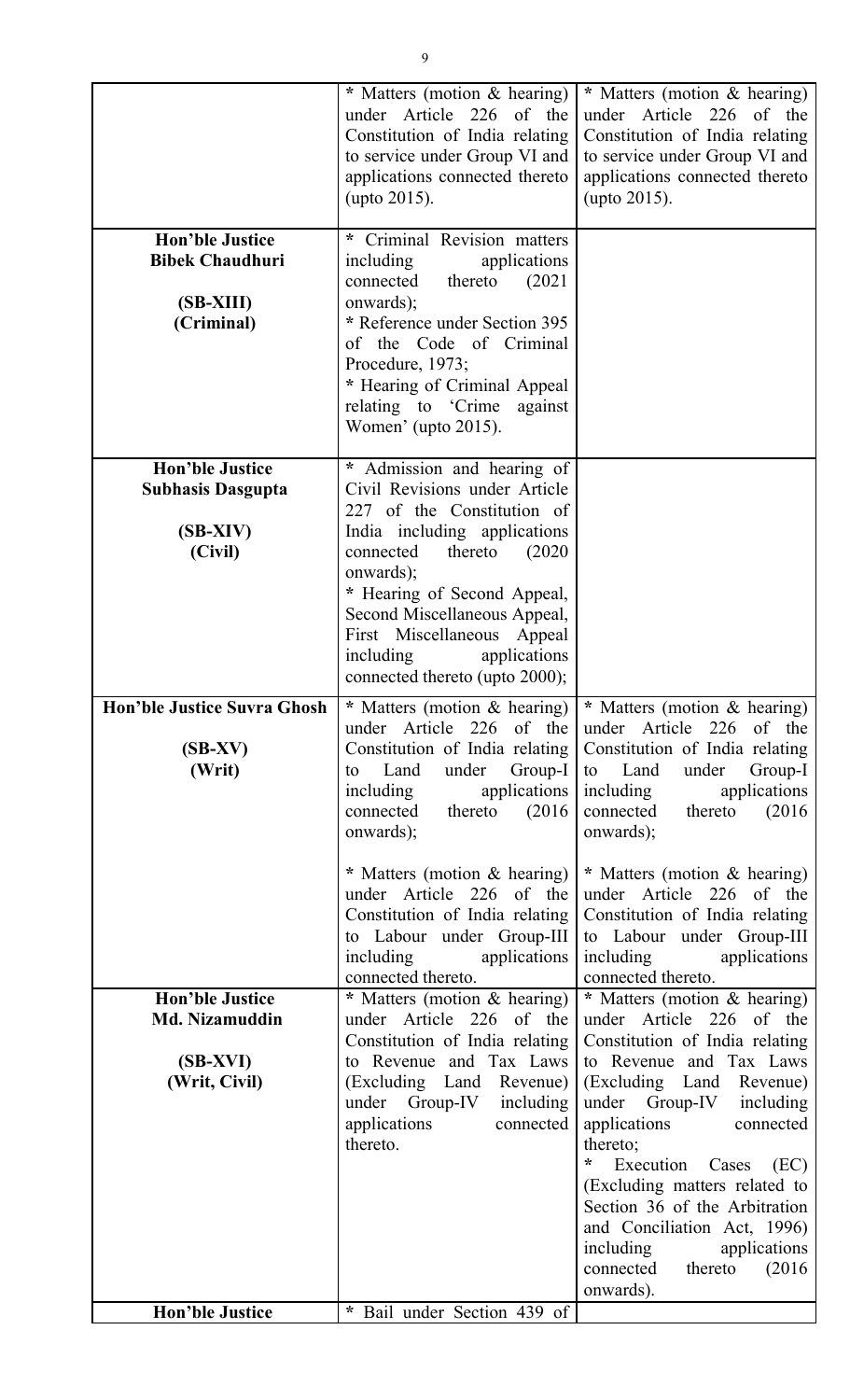|                                                                             | * Matters (motion & hearing)<br>under Article 226 of the<br>Constitution of India relating<br>to service under Group VI and<br>applications connected thereto<br>(upto 2015).                                                                                                                                                        | * Matters (motion & hearing)<br>under Article 226 of the<br>Constitution of India relating<br>to service under Group VI and<br>applications connected thereto<br>(upto 2015).                                                                                                                                                                                                                                                                                                                      |
|-----------------------------------------------------------------------------|--------------------------------------------------------------------------------------------------------------------------------------------------------------------------------------------------------------------------------------------------------------------------------------------------------------------------------------|----------------------------------------------------------------------------------------------------------------------------------------------------------------------------------------------------------------------------------------------------------------------------------------------------------------------------------------------------------------------------------------------------------------------------------------------------------------------------------------------------|
| <b>Hon'ble Justice</b><br><b>Bibek Chaudhuri</b><br>(SB-XIII)<br>(Criminal) | * Criminal Revision matters<br>including<br>applications<br>connected<br>thereto<br>(2021)<br>onwards);<br>* Reference under Section 395<br>of the Code of Criminal<br>Procedure, 1973;<br>* Hearing of Criminal Appeal<br>relating to 'Crime'<br>against<br>Women' (upto 2015).                                                     |                                                                                                                                                                                                                                                                                                                                                                                                                                                                                                    |
| <b>Hon'ble Justice</b><br><b>Subhasis Dasgupta</b><br>$(SB-XIV)$<br>(Civil) | * Admission and hearing of<br>Civil Revisions under Article<br>227 of the Constitution of<br>India including applications<br>connected<br>thereto<br>(2020)<br>onwards);<br>* Hearing of Second Appeal,<br>Second Miscellaneous Appeal,<br>First Miscellaneous Appeal<br>applications<br>including<br>connected thereto (upto 2000); |                                                                                                                                                                                                                                                                                                                                                                                                                                                                                                    |
| <b>Hon'ble Justice Suvra Ghosh</b><br>$(SB-XV)$<br>(Writ)                   | * Matters (motion & hearing)<br>under Article 226 of the<br>Constitution of India relating<br>under<br>Group-I<br>Land<br>to<br>including<br>applications<br>(2016)<br>connected<br>thereto<br>onwards);<br>* Matters (motion & hearing)<br>under Article 226 of the<br>Constitution of India relating<br>to Labour under Group-III  | * Matters (motion & hearing)<br>under Article 226 of the<br>Constitution of India relating<br>under<br>Land<br>Group-I<br>to<br>applications<br>including<br>thereto<br>(2016)<br>connected<br>onwards);<br>* Matters (motion & hearing)<br>under Article 226 of the<br>Constitution of India relating<br>to Labour under Group-III                                                                                                                                                                |
| <b>Hon'ble Justice</b><br>Md. Nizamuddin<br>(SB-XVI)<br>(Writ, Civil)       | including<br>applications<br>connected thereto.<br>* Matters (motion & hearing)<br>under Article 226<br>of the<br>Constitution of India relating<br>to Revenue and Tax Laws<br>(Excluding Land<br>Revenue)<br>under Group-IV<br>including<br>applications<br>connected<br>thereto.                                                   | including<br>applications<br>connected thereto.<br>* Matters (motion & hearing)<br>under Article 226<br>of the<br>Constitution of India relating<br>to Revenue and Tax Laws<br>(Excluding Land<br>Revenue)<br>under Group-IV<br>including<br>applications<br>connected<br>thereto;<br>*<br>Cases<br>(EC)<br>Execution<br>(Excluding matters related to<br>Section 36 of the Arbitration<br>and Conciliation Act, 1996)<br>including<br>applications<br>connected<br>thereto<br>(2016)<br>onwards). |
| <b>Hon'ble Justice</b>                                                      | * Bail under Section 439 of                                                                                                                                                                                                                                                                                                          |                                                                                                                                                                                                                                                                                                                                                                                                                                                                                                    |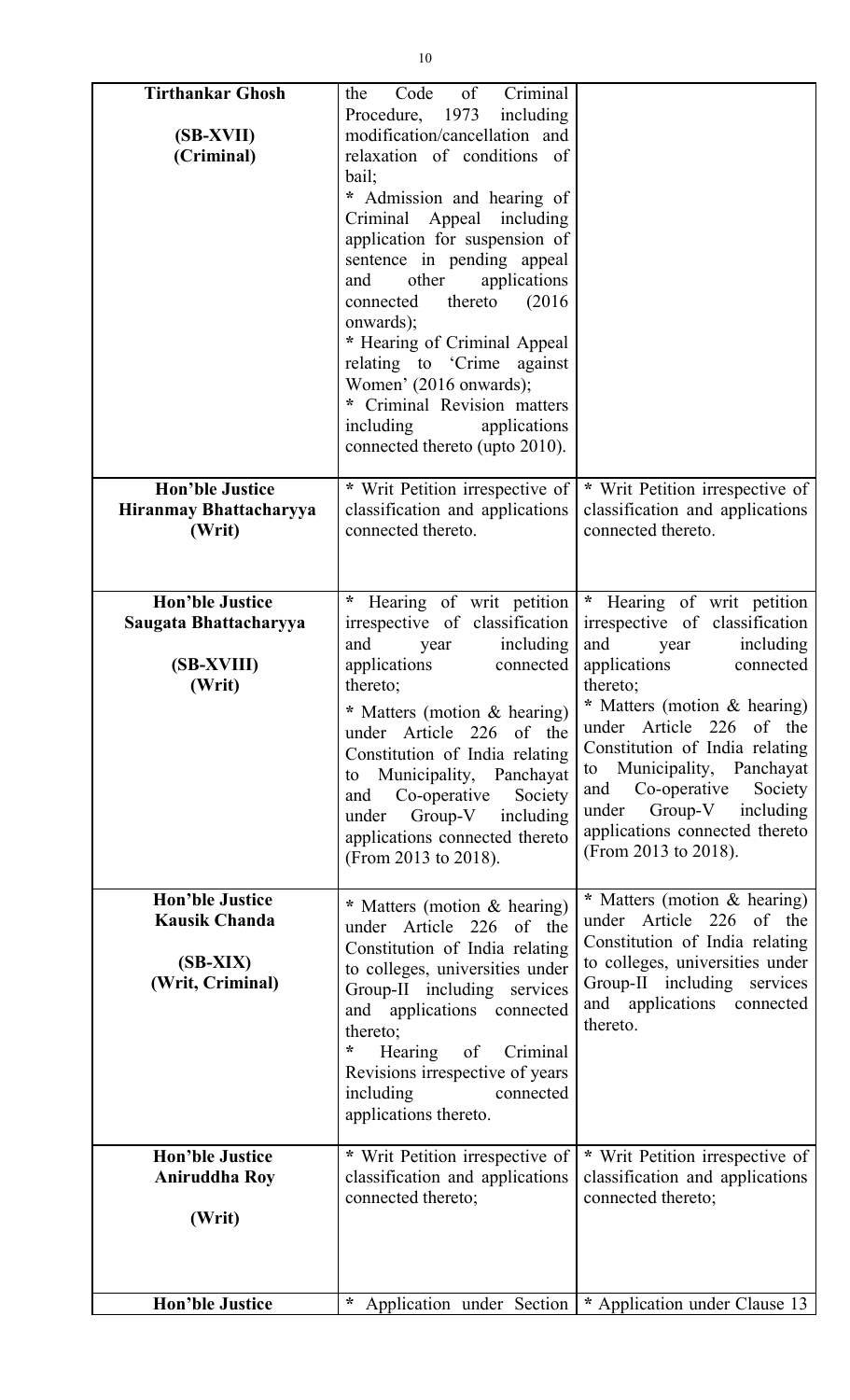| <b>Tirthankar Ghosh</b><br>(SB-XVII)<br>(Criminal)                               | $\sigma$<br>Criminal<br>Code<br>the<br>Procedure, 1973 including<br>modification/cancellation and<br>relaxation of conditions of<br>bail;<br>Admission and hearing of<br>Criminal Appeal including<br>application for suspension of<br>sentence in pending appeal<br>applications<br>other<br>and<br>thereto<br>(2016)<br>connected<br>onwards);<br>* Hearing of Criminal Appeal<br>relating to 'Crime against<br>Women' (2016 onwards);<br>* Criminal Revision matters<br>including<br>applications<br>connected thereto (upto 2010). |                                                                                                                                                                                                                                                                                                                                                                                                 |
|----------------------------------------------------------------------------------|----------------------------------------------------------------------------------------------------------------------------------------------------------------------------------------------------------------------------------------------------------------------------------------------------------------------------------------------------------------------------------------------------------------------------------------------------------------------------------------------------------------------------------------|-------------------------------------------------------------------------------------------------------------------------------------------------------------------------------------------------------------------------------------------------------------------------------------------------------------------------------------------------------------------------------------------------|
| <b>Hon'ble Justice</b><br>Hiranmay Bhattacharyya<br>(Writ)                       | * Writ Petition irrespective of<br>classification and applications<br>connected thereto.                                                                                                                                                                                                                                                                                                                                                                                                                                               | * Writ Petition irrespective of<br>classification and applications<br>connected thereto.                                                                                                                                                                                                                                                                                                        |
| <b>Hon'ble Justice</b><br>Saugata Bhattacharyya<br>(SB-XVIII)<br>(Writ)          | Hearing of writ petition<br>$\ast$<br>irrespective of classification<br>including<br>and<br>year<br>applications<br>connected<br>thereto;<br>* Matters (motion & hearing)<br>under Article 226 of the<br>Constitution of India relating<br>Municipality, Panchayat<br>to<br>Co-operative<br>Society<br>and<br>Group-V including<br>under<br>applications connected thereto<br>(From 2013 to 2018).                                                                                                                                     | * Hearing of writ petition<br>irrespective of classification<br>including<br>and<br>year<br>applications<br>connected<br>thereto;<br>* Matters (motion & hearing)<br>under Article 226 of the<br>Constitution of India relating<br>Municipality, Panchayat<br>to<br>Co-operative<br>Society<br>and<br>$Group-V$<br>including<br>under<br>applications connected thereto<br>(From 2013 to 2018). |
| <b>Hon'ble Justice</b><br><b>Kausik Chanda</b><br>$(SB-XIX)$<br>(Writ, Criminal) | * Matters (motion & hearing)<br>under Article 226 of the<br>Constitution of India relating<br>to colleges, universities under<br>Group-II including services<br>and applications connected<br>thereto;<br>$\ast$<br>Hearing<br>of<br>Criminal<br>Revisions irrespective of years<br>including<br>connected<br>applications thereto.                                                                                                                                                                                                    | * Matters (motion & hearing)<br>under Article 226<br>of the<br>Constitution of India relating<br>to colleges, universities under<br>Group-II including services<br>and applications connected<br>thereto.                                                                                                                                                                                       |
| <b>Hon'ble Justice</b><br><b>Aniruddha Roy</b><br>(Writ)                         | * Writ Petition irrespective of<br>classification and applications<br>connected thereto;                                                                                                                                                                                                                                                                                                                                                                                                                                               | * Writ Petition irrespective of<br>classification and applications<br>connected thereto;                                                                                                                                                                                                                                                                                                        |
| <b>Hon'ble Justice</b>                                                           | $\ast$                                                                                                                                                                                                                                                                                                                                                                                                                                                                                                                                 | Application under Section   * Application under Clause 13                                                                                                                                                                                                                                                                                                                                       |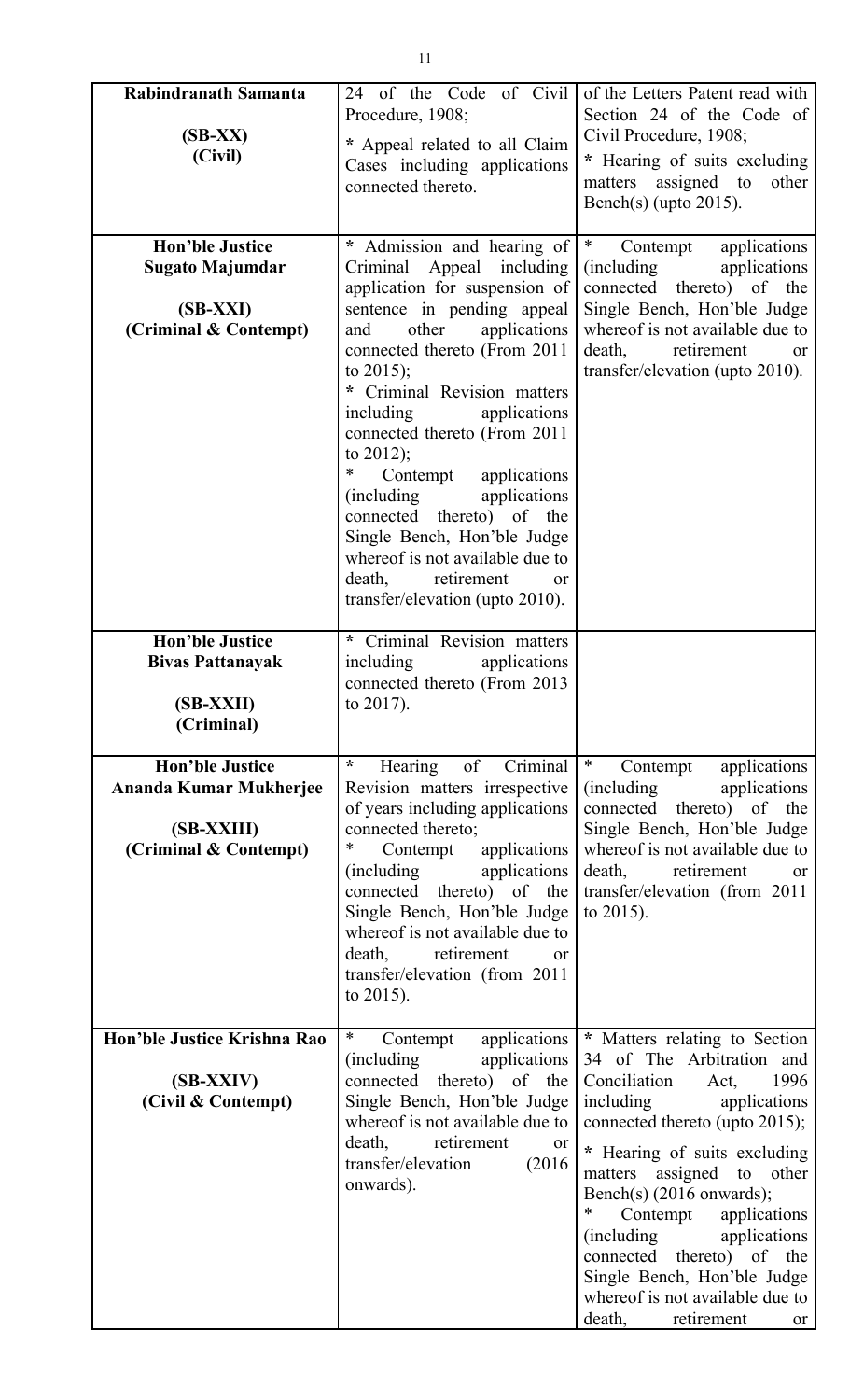| Rabindranath Samanta<br>$(SB-XX)$<br>(Civil)                                            | 24 of the Code of Civil<br>Procedure, 1908;<br>* Appeal related to all Claim<br>Cases including applications<br>connected thereto.                                                                                                                                                                                                                                                                                                                                                                                                                                | of the Letters Patent read with<br>Section 24 of the Code of<br>Civil Procedure, 1908;<br>* Hearing of suits excluding<br>matters assigned to<br>other<br>Bench(s) (upto $2015$ ).                                                                                                                                                                                                                                                                      |
|-----------------------------------------------------------------------------------------|-------------------------------------------------------------------------------------------------------------------------------------------------------------------------------------------------------------------------------------------------------------------------------------------------------------------------------------------------------------------------------------------------------------------------------------------------------------------------------------------------------------------------------------------------------------------|---------------------------------------------------------------------------------------------------------------------------------------------------------------------------------------------------------------------------------------------------------------------------------------------------------------------------------------------------------------------------------------------------------------------------------------------------------|
| <b>Hon'ble Justice</b><br><b>Sugato Majumdar</b><br>$(SB-XXI)$<br>(Criminal & Contempt) | * Admission and hearing of<br>Criminal<br>Appeal including<br>application for suspension of<br>sentence in pending appeal<br>other<br>applications<br>and<br>connected thereto (From 2011<br>to $2015$ ;<br>Criminal Revision matters<br>including<br>applications<br>connected thereto (From 2011<br>to $2012$ );<br>Contempt<br>∗<br>applications<br><i>(including)</i><br>applications<br>connected thereto) of the<br>Single Bench, Hon'ble Judge<br>whereof is not available due to<br>death, retirement<br><sub>or</sub><br>transfer/elevation (upto 2010). | $\ast$<br>Contempt<br>applications<br>(including)<br>applications<br>connected thereto) of the<br>Single Bench, Hon'ble Judge<br>whereof is not available due to<br>retirement<br>death,<br>or<br>transfer/elevation (upto 2010).                                                                                                                                                                                                                       |
| <b>Hon'ble Justice</b><br><b>Bivas Pattanayak</b><br>(SB-XXII)<br>(Criminal)            | * Criminal Revision matters<br>including<br>applications<br>connected thereto (From 2013<br>to $2017$ ).                                                                                                                                                                                                                                                                                                                                                                                                                                                          |                                                                                                                                                                                                                                                                                                                                                                                                                                                         |
| <b>Hon'ble Justice</b><br>Ananda Kumar Mukherjee<br>(SB-XXIII)<br>(Criminal & Contempt) | $\ast$<br>Hearing<br>Criminal<br>of<br>Revision matters irrespective<br>of years including applications<br>connected thereto;<br>*<br>Contempt applications<br><i>(including)</i><br>applications<br>connected thereto) of the<br>Single Bench, Hon'ble Judge<br>whereof is not available due to<br>death, retirement<br>or<br>transfer/elevation (from 2011<br>to $2015$ ).                                                                                                                                                                                      | $\ast$<br>applications<br>Contempt<br><i>(including)</i><br>applications<br>connected thereto) of the<br>Single Bench, Hon'ble Judge<br>whereof is not available due to<br>death, retirement<br>or<br>transfer/elevation (from 2011<br>to $2015$ ).                                                                                                                                                                                                     |
| Hon'ble Justice Krishna Rao<br>(SB-XXIV)<br>(Civil & Contempt)                          | $\ast$<br>applications<br>Contempt<br>(including)<br>applications<br>connected thereto) of the<br>Single Bench, Hon'ble Judge<br>whereof is not available due to<br>death, retirement<br>or<br>transfer/elevation<br>(2016)<br>onwards).                                                                                                                                                                                                                                                                                                                          | * Matters relating to Section<br>34 of The Arbitration and<br>Conciliation<br>1996<br>Act,<br>including<br>applications<br>connected thereto (upto 2015);<br>* Hearing of suits excluding<br>matters assigned to other<br>Bench(s) $(2016$ onwards);<br>$\ast$<br>Contempt<br>applications<br><i>(including)</i><br>applications<br>connected thereto) of the<br>Single Bench, Hon'ble Judge<br>whereof is not available due to<br>death, retirement or |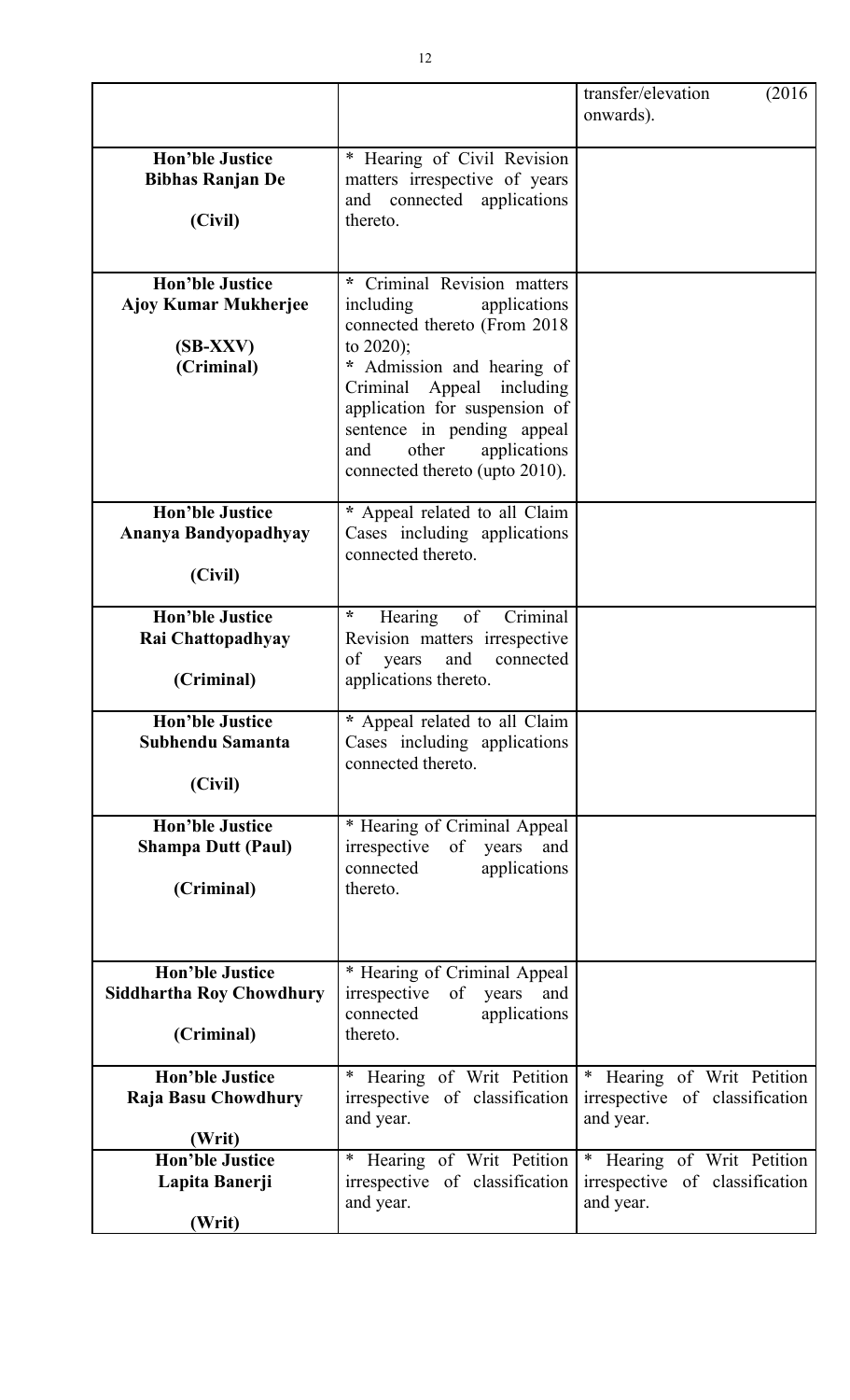|                                                                                   |                                                                                                                                                                                                                                                                                                        | transfer/elevation<br>(2016)<br>onwards).                                 |
|-----------------------------------------------------------------------------------|--------------------------------------------------------------------------------------------------------------------------------------------------------------------------------------------------------------------------------------------------------------------------------------------------------|---------------------------------------------------------------------------|
| <b>Hon'ble Justice</b><br><b>Bibhas Ranjan De</b><br>(Civil)                      | * Hearing of Civil Revision<br>matters irrespective of years<br>and connected applications<br>thereto.                                                                                                                                                                                                 |                                                                           |
| <b>Hon'ble Justice</b><br><b>Ajoy Kumar Mukherjee</b><br>$(SB-XXV)$<br>(Criminal) | Criminal Revision matters<br>*.<br>including<br>applications<br>connected thereto (From 2018)<br>to $2020$ ;<br>Admission and hearing of<br>Criminal Appeal including<br>application for suspension of<br>sentence in pending appeal<br>other<br>applications<br>and<br>connected thereto (upto 2010). |                                                                           |
| <b>Hon'ble Justice</b><br>Ananya Bandyopadhyay<br>(Civil)                         | * Appeal related to all Claim<br>Cases including applications<br>connected thereto.                                                                                                                                                                                                                    |                                                                           |
| <b>Hon'ble Justice</b><br>Rai Chattopadhyay<br>(Criminal)                         | of<br>Criminal<br>$\star$<br>Hearing<br>Revision matters irrespective<br>of<br>and<br>connected<br>years<br>applications thereto.                                                                                                                                                                      |                                                                           |
| <b>Hon'ble Justice</b><br>Subhendu Samanta<br>(Civil)                             | * Appeal related to all Claim<br>Cases including applications<br>connected thereto.                                                                                                                                                                                                                    |                                                                           |
| <b>Hon'ble Justice</b><br><b>Shampa Dutt (Paul)</b><br>(Criminal)                 | * Hearing of Criminal Appeal<br>irrespective of<br>years<br>and<br>applications<br>connected<br>thereto.                                                                                                                                                                                               |                                                                           |
| <b>Hon'ble Justice</b><br><b>Siddhartha Roy Chowdhury</b><br>(Criminal)           | * Hearing of Criminal Appeal<br>irrespective of<br>years<br>and<br>connected<br>applications<br>thereto.                                                                                                                                                                                               |                                                                           |
| <b>Hon'ble Justice</b><br>Raja Basu Chowdhury<br>(Writ)                           | * Hearing of Writ Petition<br>irrespective of classification<br>and year.                                                                                                                                                                                                                              | * Hearing of Writ Petition<br>irrespective of classification<br>and year. |
| <b>Hon'ble Justice</b><br>Lapita Banerji<br>(Writ)                                | Hearing of Writ Petition<br>$\ast$<br>irrespective of classification<br>and year.                                                                                                                                                                                                                      | * Hearing of Writ Petition<br>irrespective of classification<br>and year. |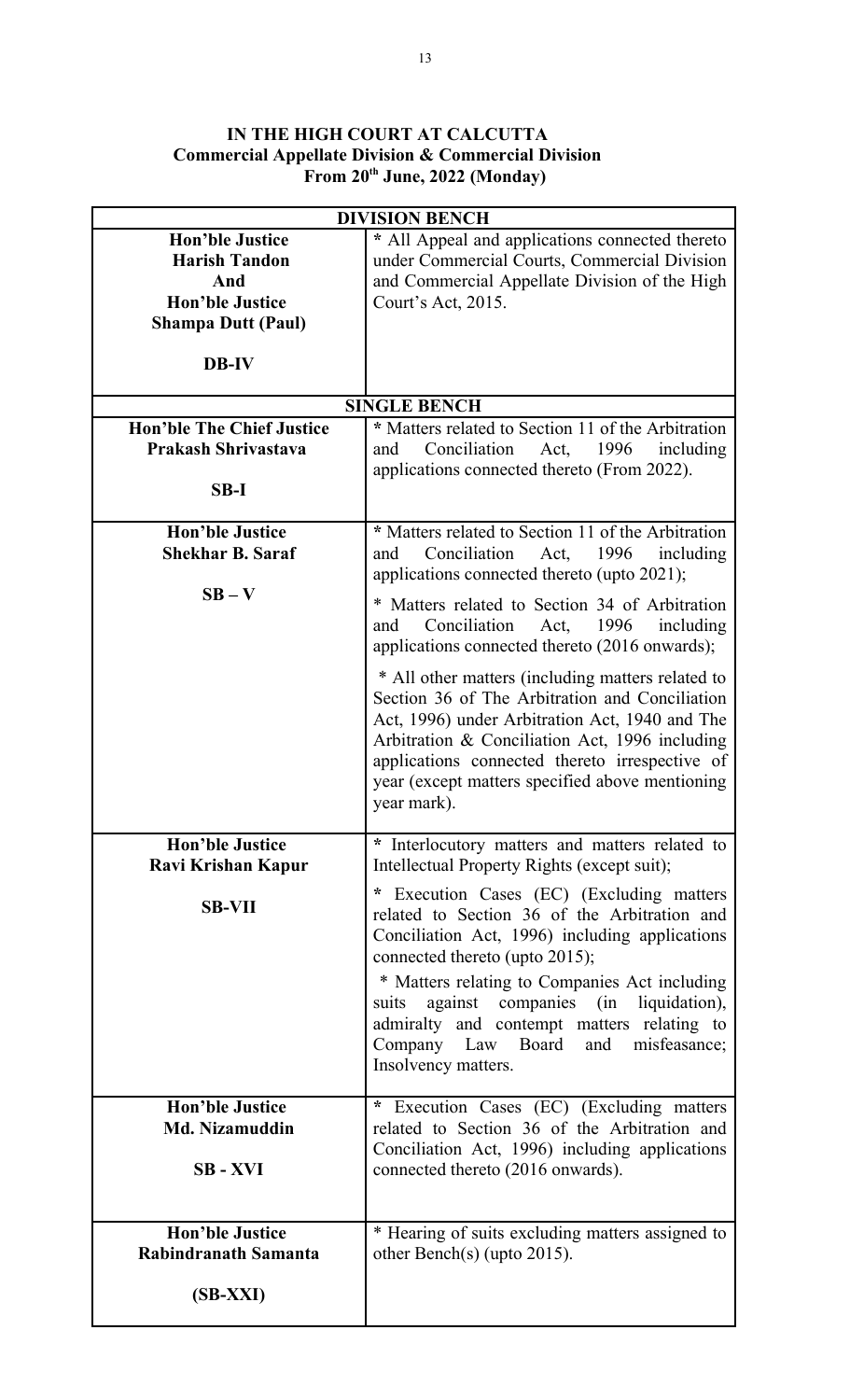#### **IN THE HIGH COURT AT CALCUTTA Commercial Appellate Division & Commercial Division From 20th June, 2022 (Monday)**

| <b>DIVISION BENCH</b>                                                                                                        |                                                                                                                                                                                                                                                                                                                                                                                           |
|------------------------------------------------------------------------------------------------------------------------------|-------------------------------------------------------------------------------------------------------------------------------------------------------------------------------------------------------------------------------------------------------------------------------------------------------------------------------------------------------------------------------------------|
| <b>Hon'ble Justice</b><br><b>Harish Tandon</b><br>And<br><b>Hon'ble Justice</b><br><b>Shampa Dutt (Paul)</b><br><b>DB-IV</b> | * All Appeal and applications connected thereto<br>under Commercial Courts, Commercial Division<br>and Commercial Appellate Division of the High<br>Court's Act, 2015.                                                                                                                                                                                                                    |
|                                                                                                                              |                                                                                                                                                                                                                                                                                                                                                                                           |
| <b>Hon'ble The Chief Justice</b>                                                                                             | <b>SINGLE BENCH</b><br>* Matters related to Section 11 of the Arbitration                                                                                                                                                                                                                                                                                                                 |
| Prakash Shrivastava<br>$SB-I$                                                                                                | Conciliation<br>1996<br>including<br>Act,<br>and<br>applications connected thereto (From 2022).                                                                                                                                                                                                                                                                                           |
|                                                                                                                              |                                                                                                                                                                                                                                                                                                                                                                                           |
| <b>Hon'ble Justice</b><br><b>Shekhar B. Saraf</b>                                                                            | * Matters related to Section 11 of the Arbitration<br>Conciliation<br>Act, 1996<br>including<br>and<br>applications connected thereto (upto 2021);                                                                                                                                                                                                                                        |
| $SB - V$                                                                                                                     | * Matters related to Section 34 of Arbitration<br>Conciliation<br>1996<br>including<br>Act,<br>and<br>applications connected thereto (2016 onwards);                                                                                                                                                                                                                                      |
|                                                                                                                              | * All other matters (including matters related to<br>Section 36 of The Arbitration and Conciliation<br>Act, 1996) under Arbitration Act, 1940 and The<br>Arbitration & Conciliation Act, 1996 including<br>applications connected thereto irrespective of<br>year (except matters specified above mentioning<br>year mark).                                                               |
| <b>Hon'ble Justice</b><br>Ravi Krishan Kapur                                                                                 | * Interlocutory matters and matters related to<br>Intellectual Property Rights (except suit);                                                                                                                                                                                                                                                                                             |
| <b>SB-VII</b>                                                                                                                | * Execution Cases (EC) (Excluding matters<br>related to Section 36 of the Arbitration and<br>Conciliation Act, 1996) including applications<br>connected thereto (upto 2015);<br>* Matters relating to Companies Act including<br>against companies (in liquidation),<br>suits<br>admiralty and contempt matters relating to<br>Company Law Board and misfeasance;<br>Insolvency matters. |
| <b>Hon'ble Justice</b><br><b>Md. Nizamuddin</b><br><b>SB-XVI</b>                                                             | * Execution Cases (EC) (Excluding matters<br>related to Section 36 of the Arbitration and<br>Conciliation Act, 1996) including applications<br>connected thereto (2016 onwards).                                                                                                                                                                                                          |
| <b>Hon'ble Justice</b><br>Rabindranath Samanta                                                                               | * Hearing of suits excluding matters assigned to<br>other Bench(s) (upto $2015$ ).                                                                                                                                                                                                                                                                                                        |
| $(SB-XXI)$                                                                                                                   |                                                                                                                                                                                                                                                                                                                                                                                           |